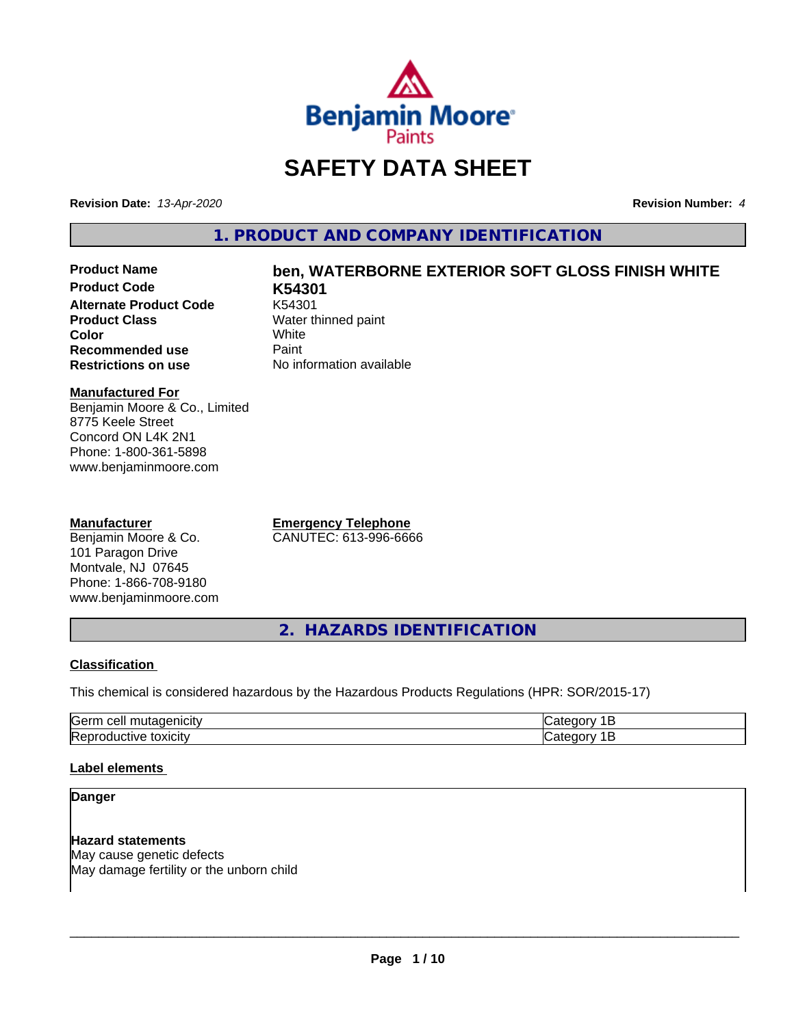

# **SAFETY DATA SHEET**

**Revision Date:** *13-Apr-2020* **Revision Number:** *4*

**1. PRODUCT AND COMPANY IDENTIFICATION**

**Product Code K54301 Alternate Product Code**<br>Product Class **Color** White White **Recommended use** Paint<br> **Restrictions on use** No inf

# **Product Name ben, WATERBORNE EXTERIOR SOFT GLOSS FINISH WHITE**

**Water thinned paint**<br>White **No information available** 

#### **Manufactured For**

Benjamin Moore & Co., Limited 8775 Keele Street Concord ON L4K 2N1 Phone: 1-800-361-5898 www.benjaminmoore.com

#### **Manufacturer**

Benjamin Moore & Co. 101 Paragon Drive Montvale, NJ 07645 Phone: 1-866-708-9180 www.benjaminmoore.com **Emergency Telephone** CANUTEC: 613-996-6666

**2. HAZARDS IDENTIFICATION**

#### **Classification**

This chemical is considered hazardous by the Hazardous Products Regulations (HPR: SOR/2015-17)

| $\sim$<br>ras<br>$\cdot$                |  |
|-----------------------------------------|--|
| m<br>.<br>.<br>IR A'<br><b>JXIUII</b> ™ |  |

#### **Label elements**

#### **Danger**

**Hazard statements** May cause genetic defects May damage fertility or the unborn child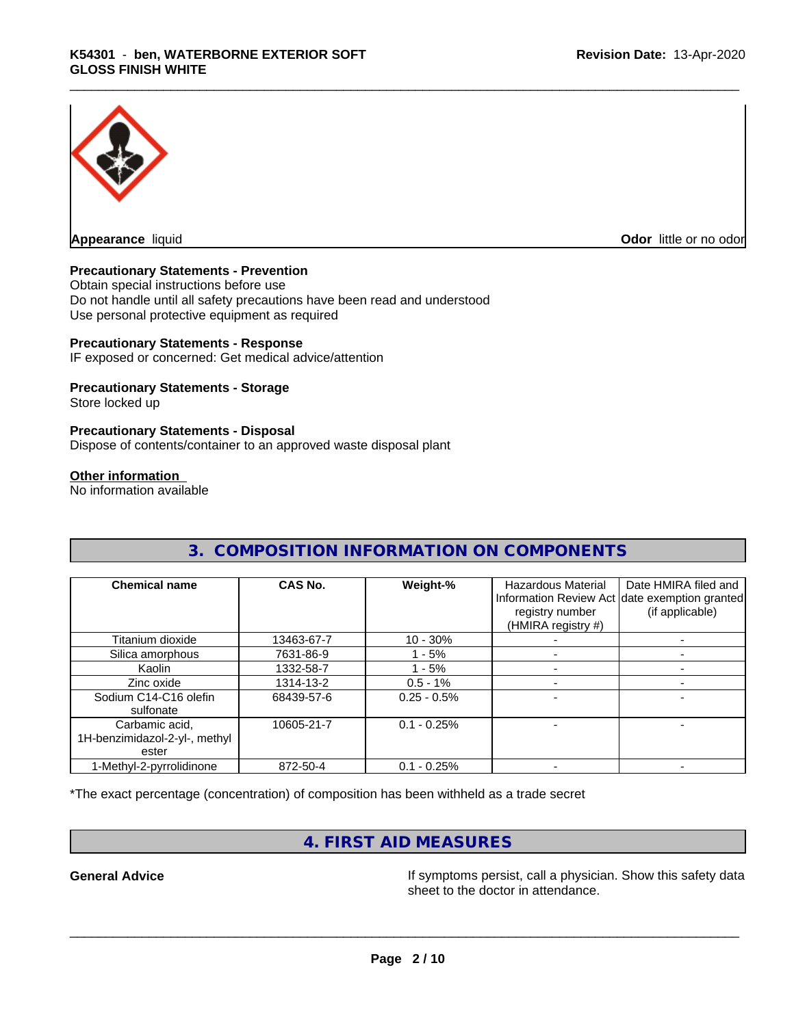

**Appearance** liquid **Odor in the original of the original of the original of the original of the original of the original of the original of the original of the original of the original of the original of the original of t** 

#### **Precautionary Statements - Prevention**

Obtain special instructions before use Do not handle until all safety precautions have been read and understood Use personal protective equipment as required

#### **Precautionary Statements - Response**

IF exposed or concerned: Get medical advice/attention

#### **Precautionary Statements - Storage**

Store locked up

#### **Precautionary Statements - Disposal**

Dispose of contents/container to an approved waste disposal plant

#### **Other information**

No information available

| <b>Chemical name</b>          | CAS No.    | Weight-%      | <b>Hazardous Material</b><br>registry number<br>(HMIRA registry #) | Date HMIRA filed and<br>Information Review Act date exemption granted<br>(if applicable) |
|-------------------------------|------------|---------------|--------------------------------------------------------------------|------------------------------------------------------------------------------------------|
| Titanium dioxide              | 13463-67-7 | $10 - 30%$    |                                                                    |                                                                                          |
| Silica amorphous              | 7631-86-9  | 1 - 5%        |                                                                    |                                                                                          |
| Kaolin                        | 1332-58-7  | - 5%          |                                                                    |                                                                                          |
| Zinc oxide                    | 1314-13-2  | $0.5 - 1%$    |                                                                    |                                                                                          |
| Sodium C14-C16 olefin         | 68439-57-6 | $0.25 - 0.5%$ |                                                                    |                                                                                          |
| sulfonate                     |            |               |                                                                    |                                                                                          |
| Carbamic acid,                | 10605-21-7 | $0.1 - 0.25%$ |                                                                    |                                                                                          |
| 1H-benzimidazol-2-yl-, methyl |            |               |                                                                    |                                                                                          |
| ester                         |            |               |                                                                    |                                                                                          |
| 1-Methyl-2-pyrrolidinone      | 872-50-4   | $0.1 - 0.25%$ |                                                                    |                                                                                          |

**3. COMPOSITION INFORMATION ON COMPONENTS**

\*The exact percentage (concentration) of composition has been withheld as a trade secret

# **4. FIRST AID MEASURES**

**General Advice If** symptoms persist, call a physician. Show this safety data sheet to the doctor in attendance.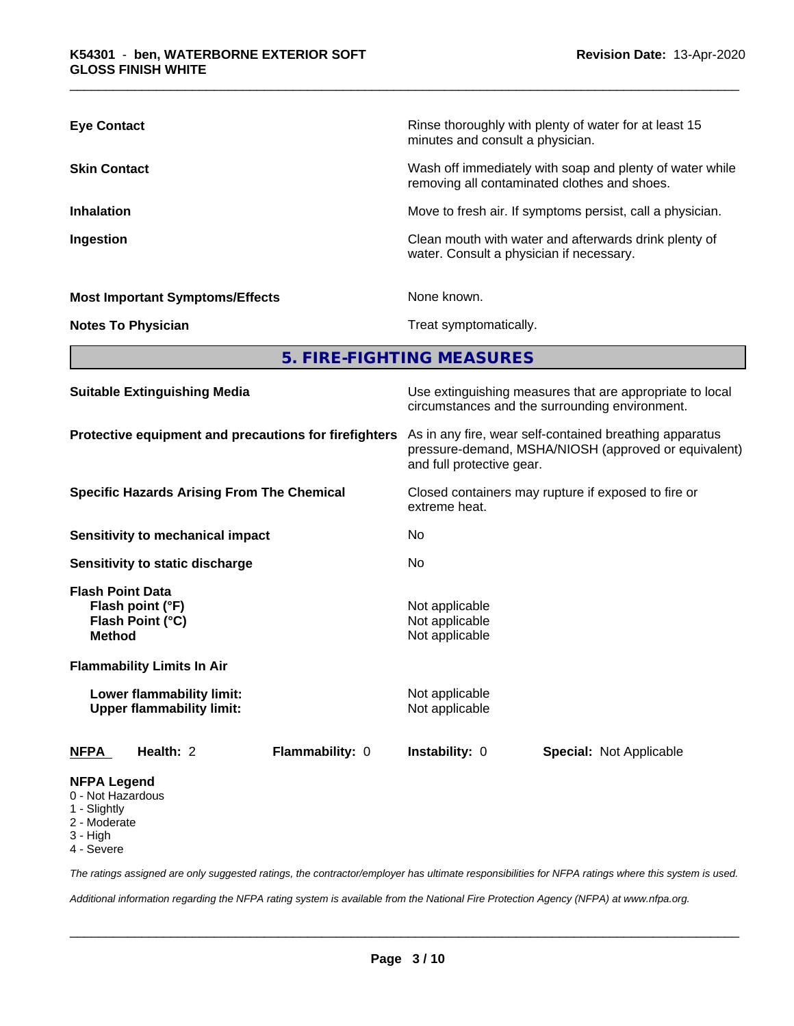| <b>Eye Contact</b>                     | Rinse thoroughly with plenty of water for at least 15<br>minutes and consult a physician.                |
|----------------------------------------|----------------------------------------------------------------------------------------------------------|
| <b>Skin Contact</b>                    | Wash off immediately with soap and plenty of water while<br>removing all contaminated clothes and shoes. |
| <b>Inhalation</b>                      | Move to fresh air. If symptoms persist, call a physician.                                                |
| Ingestion                              | Clean mouth with water and afterwards drink plenty of<br>water. Consult a physician if necessary.        |
| <b>Most Important Symptoms/Effects</b> | None known.                                                                                              |
| <b>Notes To Physician</b>              | Treat symptomatically.                                                                                   |

**5. FIRE-FIGHTING MEASURES**

| <b>Suitable Extinguishing Media</b>                                              |                        | Use extinguishing measures that are appropriate to local<br>circumstances and the surrounding environment.<br>As in any fire, wear self-contained breathing apparatus<br>pressure-demand, MSHA/NIOSH (approved or equivalent)<br>and full protective gear. |                                |  |  |  |
|----------------------------------------------------------------------------------|------------------------|------------------------------------------------------------------------------------------------------------------------------------------------------------------------------------------------------------------------------------------------------------|--------------------------------|--|--|--|
| Protective equipment and precautions for firefighters                            |                        |                                                                                                                                                                                                                                                            |                                |  |  |  |
| <b>Specific Hazards Arising From The Chemical</b>                                |                        | Closed containers may rupture if exposed to fire or<br>extreme heat.                                                                                                                                                                                       |                                |  |  |  |
| Sensitivity to mechanical impact                                                 |                        | No.                                                                                                                                                                                                                                                        |                                |  |  |  |
| Sensitivity to static discharge                                                  |                        | No.                                                                                                                                                                                                                                                        |                                |  |  |  |
| <b>Flash Point Data</b><br>Flash point (°F)<br>Flash Point (°C)<br><b>Method</b> |                        | Not applicable<br>Not applicable<br>Not applicable                                                                                                                                                                                                         |                                |  |  |  |
| <b>Flammability Limits In Air</b>                                                |                        |                                                                                                                                                                                                                                                            |                                |  |  |  |
| Lower flammability limit:<br><b>Upper flammability limit:</b>                    |                        | Not applicable<br>Not applicable                                                                                                                                                                                                                           |                                |  |  |  |
| <b>NFPA</b><br>Health: 2                                                         | <b>Flammability: 0</b> | <b>Instability: 0</b>                                                                                                                                                                                                                                      | <b>Special: Not Applicable</b> |  |  |  |
| <b>NFPA Legend</b><br>0 - Not Hazardous                                          |                        |                                                                                                                                                                                                                                                            |                                |  |  |  |

- 1 Slightly
- 2 Moderate
- 3 High
- 
- 4 Severe

*The ratings assigned are only suggested ratings, the contractor/employer has ultimate responsibilities for NFPA ratings where this system is used.*

*Additional information regarding the NFPA rating system is available from the National Fire Protection Agency (NFPA) at www.nfpa.org.*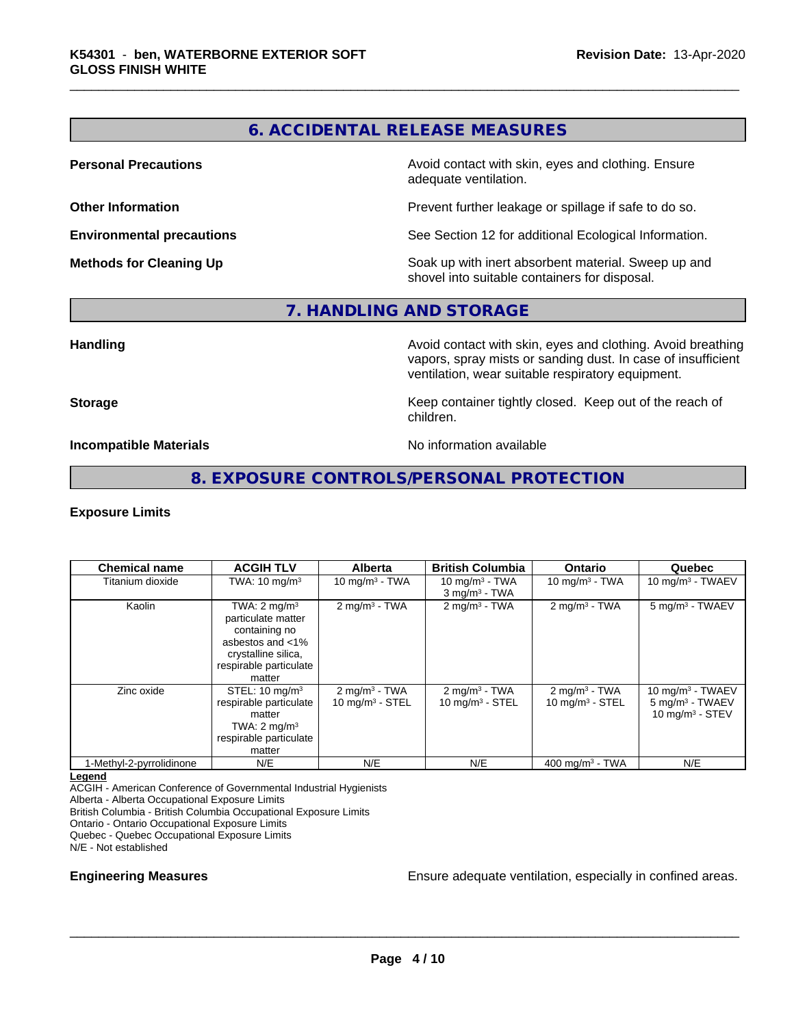# **6. ACCIDENTAL RELEASE MEASURES**

**Personal Precautions Precautions** Avoid contact with skin, eyes and clothing. Ensure adequate ventilation.

**Other Information Other Information Prevent further leakage or spillage if safe to do so.** 

**Environmental precautions** See Section 12 for additional Ecological Information.

**Methods for Cleaning Up Soak** up with inert absorbent material. Sweep up and shovel into suitable containers for disposal.

#### **7. HANDLING AND STORAGE**

**Handling Handling Avoid contact with skin, eyes and clothing. Avoid breathing** vapors, spray mists or sanding dust. In case of insufficient ventilation, wear suitable respiratory equipment.

**Storage Keep container tightly closed. Keep out of the reach of Keep** container tightly closed. Keep out of the reach of children.

**Incompatible Materials No information available** 

#### **8. EXPOSURE CONTROLS/PERSONAL PROTECTION**

#### **Exposure Limits**

| <b>Chemical name</b>     | <b>ACGIH TLV</b>                                                                                                                              | <b>Alberta</b>                                  | <b>British Columbia</b>                          | <b>Ontario</b>                                         | Quebec                                                                 |
|--------------------------|-----------------------------------------------------------------------------------------------------------------------------------------------|-------------------------------------------------|--------------------------------------------------|--------------------------------------------------------|------------------------------------------------------------------------|
| Titanium dioxide         | TWA: $10 \text{ mg/m}^3$                                                                                                                      | 10 mg/m $3 - TWA$                               | 10 mg/m $3$ - TWA<br>$3$ mg/m <sup>3</sup> - TWA | 10 mg/m $3$ - TWA                                      | 10 mg/m $3$ - TWAEV                                                    |
| Kaolin                   | TWA: $2 \text{ mq/m}^3$<br>particulate matter<br>containing no<br>asbestos and <1%<br>crystalline silica,<br>respirable particulate<br>matter | $2$ mg/m <sup>3</sup> - TWA                     | $2$ mg/m <sup>3</sup> - TWA                      | $2 \text{mq/m}^3$ - TWA                                | 5 mg/m <sup>3</sup> - TWAEV                                            |
| Zinc oxide               | STEL: $10 \text{ mg/m}^3$<br>respirable particulate<br>matter<br>TWA: $2 \text{ mg/m}^3$<br>respirable particulate<br>matter                  | $2 \text{mq/m}^3$ - TWA<br>$10$ mg/m $3$ - STEL | $2 \text{mq/m}^3$ - TWA<br>10 mg/m $3 -$ STEL    | $2 \text{ mg/m}^3$ - TWA<br>$10 \text{ mg/m}^3$ - STEL | 10 mg/m $3$ - TWAEV<br>$5 \text{ mg/m}^3$ - TWAEV<br>10 $mq/m3$ - STEV |
| 1-Methyl-2-pyrrolidinone | N/E                                                                                                                                           | N/E                                             | N/E                                              | 400 mg/m <sup>3</sup> - TWA                            | N/E                                                                    |

#### **Legend**

ACGIH - American Conference of Governmental Industrial Hygienists

Alberta - Alberta Occupational Exposure Limits

British Columbia - British Columbia Occupational Exposure Limits

Ontario - Ontario Occupational Exposure Limits

Quebec - Quebec Occupational Exposure Limits

N/E - Not established

**Engineering Measures Ensure adequate ventilation, especially in confined areas.**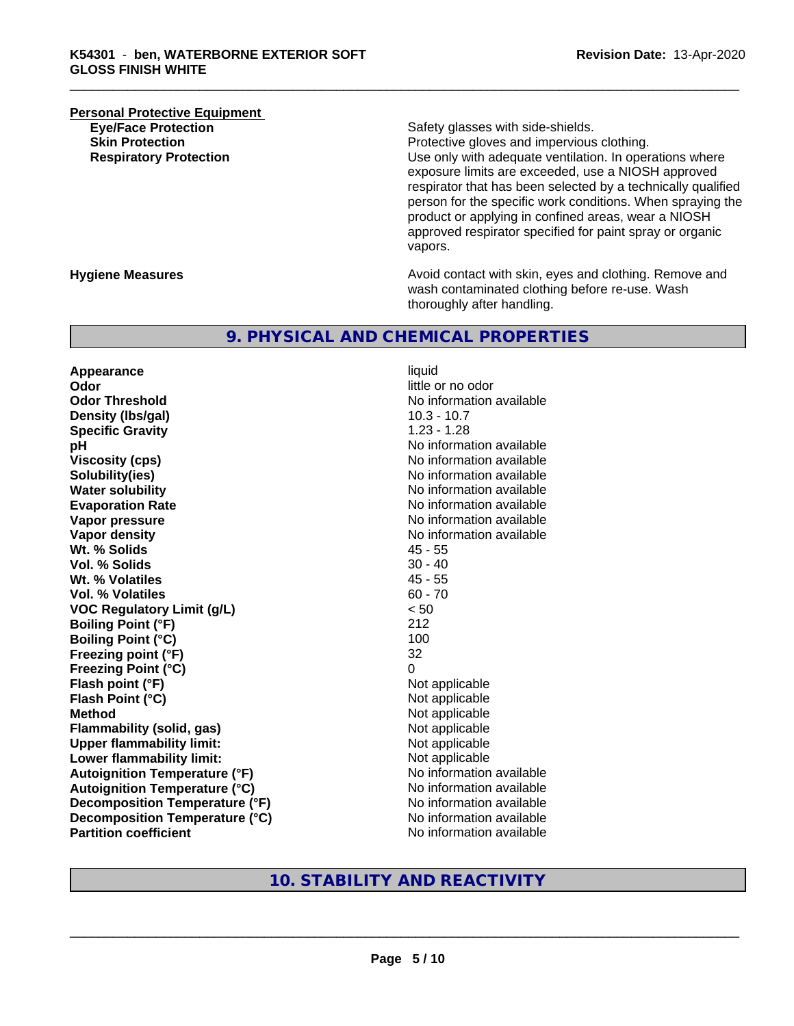# **Personal Protective Equipment**<br> **Eve/Face Protection Eye/Face Protection**<br> **Safety glasses with side-shields.**<br> **Skin Protection**<br> **Skin Protection**

Protective gloves and impervious clothing. **Respiratory Protection Number 1** (Use only with adequate ventilation. In operations where exposure limits are exceeded, use a NIOSH approved respirator that has been selected by a technically qualified person for the specific work conditions. When spraying the product or applying in confined areas, wear a NIOSH approved respirator specified for paint spray or organic vapors.

**Hygiene Measures Avoid contact with skin, eyes and clothing. Remove and Avoid contact with skin, eyes and clothing. Remove and Avoid contact with skin, eyes and clothing. Remove and** wash contaminated clothing before re-use. Wash thoroughly after handling.

#### **9. PHYSICAL AND CHEMICAL PROPERTIES**

**Appearance** liquid **Odor** little or no odor **Odor Threshold** No information available **Density (lbs/gal)** 10.3 - 10.7 **Specific Gravity** 1.23 - 1.28 **pH pH**  $\blacksquare$ **Viscosity (cps)** No information available **Solubility(ies)** No information available **Water solubility** No information available **Evaporation Rate No information available No information available Vapor pressure** No information available **No information available Vapor density**<br> **We Solids**<br>
We Solids
2019 Wt. % Solids **Vol. % Solids** 30 - 40 **Wt. % Volatiles** 45 - 55 **Vol. % Volatiles VOC Regulatory Limit (g/L)** < 50 **Boiling Point (°F)** 212 **Boiling Point**  $(^{\circ}C)$  100 **Freezing point (°F)** 32 **Freezing Point (°C)** 0 **Flash point (°F)**<br> **Flash Point (°C)**<br> **Flash Point (°C)**<br> **Not** applicable **Flash Point (°C) Method** Not applicable **Flammability (solid, gas)**<br> **Commability limit:**<br>
Upper flammability limit:<br>
Not applicable **Upper flammability limit:**<br> **Lower flammability limit:** Not applicable Not applicable **Lower flammability limit: Autoignition Temperature (°F)** No information available **Autoignition Temperature (°C)** No information available **Decomposition Temperature (°F)** No information available **Decomposition Temperature (°C)**<br> **Partition coefficient**<br> **Partition coefficient**<br> **No** information available

**No information available** 

## **10. STABILITY AND REACTIVITY**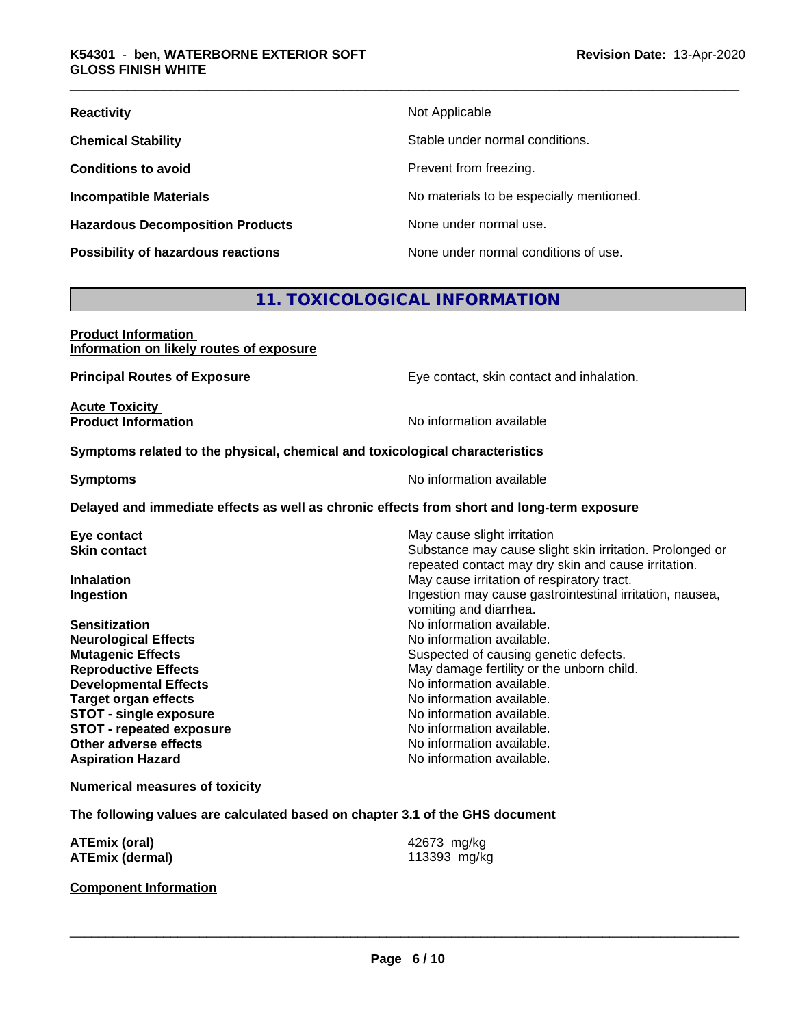| <b>Reactivity</b>                       | Not Applicable                           |
|-----------------------------------------|------------------------------------------|
| <b>Chemical Stability</b>               | Stable under normal conditions.          |
| <b>Conditions to avoid</b>              | Prevent from freezing.                   |
| <b>Incompatible Materials</b>           | No materials to be especially mentioned. |
| <b>Hazardous Decomposition Products</b> | None under normal use.                   |
| Possibility of hazardous reactions      | None under normal conditions of use.     |

# **11. TOXICOLOGICAL INFORMATION**

| <b>Product Information</b>               |  |
|------------------------------------------|--|
| Information on likely routes of exposure |  |

**Principal Routes of Exposure Exposure** Eye contact, skin contact and inhalation.

**Acute Toxicity Product Information** 

#### **Symptoms** related to the physical, chemical and toxicological characteristics

**Symptoms** No information available

#### **Delayed and immediate effects as well as chronic effects from short and long-term exposure**

| Eye contact                   | May cause slight irritation                                                                                     |
|-------------------------------|-----------------------------------------------------------------------------------------------------------------|
| <b>Skin contact</b>           | Substance may cause slight skin irritation. Prolonged or<br>repeated contact may dry skin and cause irritation. |
| <b>Inhalation</b>             | May cause irritation of respiratory tract.                                                                      |
| Ingestion                     | Ingestion may cause gastrointestinal irritation, nausea,<br>vomiting and diarrhea.                              |
| <b>Sensitization</b>          | No information available.                                                                                       |
| <b>Neurological Effects</b>   | No information available.                                                                                       |
| <b>Mutagenic Effects</b>      | Suspected of causing genetic defects.                                                                           |
| <b>Reproductive Effects</b>   | May damage fertility or the unborn child.                                                                       |
| <b>Developmental Effects</b>  | No information available.                                                                                       |
| <b>Target organ effects</b>   | No information available.                                                                                       |
| <b>STOT - single exposure</b> | No information available.                                                                                       |
| STOT - repeated exposure      | No information available.                                                                                       |
| Other adverse effects         | No information available.                                                                                       |
| <b>Aspiration Hazard</b>      | No information available.                                                                                       |
|                               |                                                                                                                 |

#### **Numerical measures of toxicity**

**The following values are calculated based on chapter 3.1 of the GHS document**

| <b>ATEmix (oral)</b>   | 42673 mg/kg  |
|------------------------|--------------|
| <b>ATEmix (dermal)</b> | 113393 mg/kg |

#### **Component Information**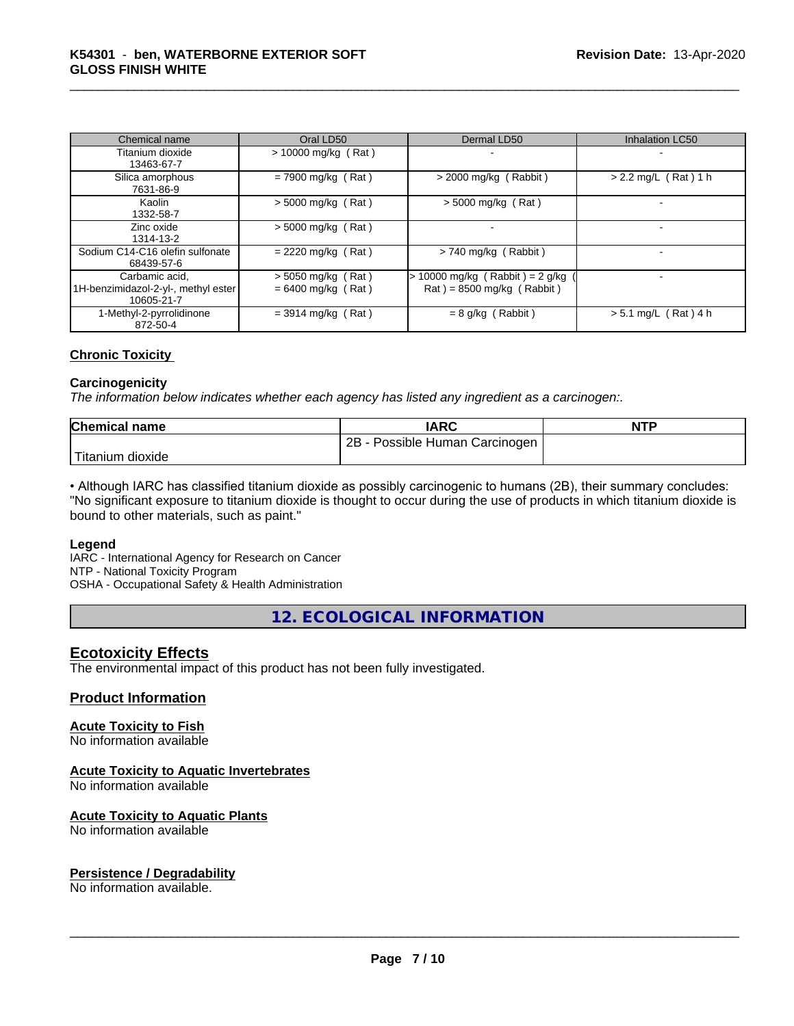| Chemical name                                                       | Oral LD50                                    | Dermal LD50                                                      | <b>Inhalation LC50</b> |
|---------------------------------------------------------------------|----------------------------------------------|------------------------------------------------------------------|------------------------|
| Titanium dioxide<br>13463-67-7                                      | $> 10000$ mg/kg (Rat)                        |                                                                  |                        |
| Silica amorphous<br>7631-86-9                                       | $= 7900$ mg/kg (Rat)                         | $>$ 2000 mg/kg (Rabbit)                                          | $> 2.2$ mg/L (Rat) 1 h |
| Kaolin<br>1332-58-7                                                 | $> 5000$ mg/kg (Rat)                         | $>$ 5000 mg/kg (Rat)                                             |                        |
| Zinc oxide<br>1314-13-2                                             | $> 5000$ mg/kg (Rat)                         |                                                                  |                        |
| Sodium C14-C16 olefin sulfonate<br>68439-57-6                       | $= 2220$ mg/kg (Rat)                         | $> 740$ mg/kg (Rabbit)                                           |                        |
| Carbamic acid.<br>1H-benzimidazol-2-yl-, methyl ester<br>10605-21-7 | $> 5050$ mg/kg (Rat)<br>$= 6400$ mg/kg (Rat) | $> 10000$ mg/kg (Rabbit) = 2 g/kg<br>$Rat$ = 8500 mg/kg (Rabbit) |                        |
| 1-Methyl-2-pyrrolidinone<br>872-50-4                                | $=$ 3914 mg/kg (Rat)                         | $= 8$ g/kg (Rabbit)                                              | $> 5.1$ mg/L (Rat) 4 h |

#### **Chronic Toxicity**

#### **Carcinogenicity**

*The information below indicateswhether each agency has listed any ingredient as a carcinogen:.*

| <b>Chemical name</b>    | <b>IARC</b>                     | <b>NTP</b> |
|-------------------------|---------------------------------|------------|
|                         | 2B<br>Possible Human Carcinogen |            |
| Titanium 、<br>ı dioxide |                                 |            |

• Although IARC has classified titanium dioxide as possibly carcinogenic to humans (2B), their summary concludes: "No significant exposure to titanium dioxide is thought to occur during the use of products in which titanium dioxide is bound to other materials, such as paint."

#### **Legend**

IARC - International Agency for Research on Cancer NTP - National Toxicity Program

OSHA - Occupational Safety & Health Administration

**12. ECOLOGICAL INFORMATION**

#### **Ecotoxicity Effects**

The environmental impact of this product has not been fully investigated.

#### **Product Information**

#### **Acute Toxicity to Fish**

No information available

#### **Acute Toxicity to Aquatic Invertebrates**

No information available

#### **Acute Toxicity to Aquatic Plants**

No information available

#### **Persistence / Degradability**

No information available.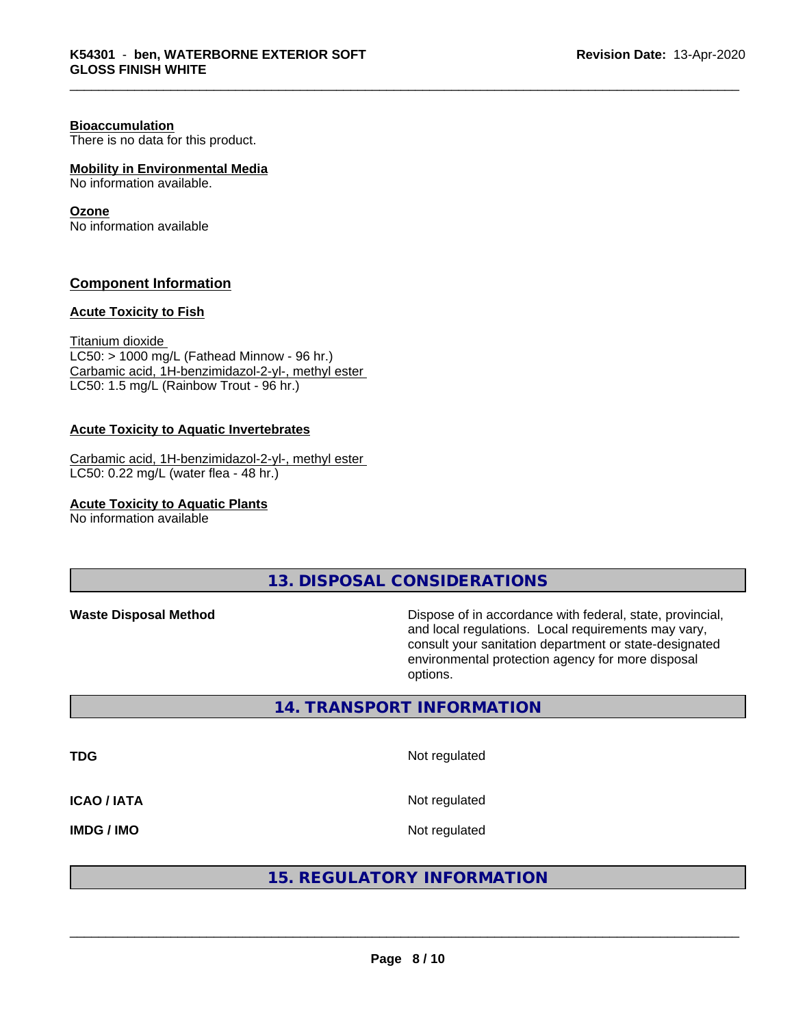#### **Bioaccumulation**

There is no data for this product.

#### **Mobility in Environmental Media**

No information available.

#### **Ozone**

No information available

#### **Component Information**

#### **Acute Toxicity to Fish**

Titanium dioxide  $LC50:$  > 1000 mg/L (Fathead Minnow - 96 hr.) Carbamic acid, 1H-benzimidazol-2-yl-, methyl ester LC50: 1.5 mg/L (Rainbow Trout - 96 hr.)

#### **Acute Toxicity to Aquatic Invertebrates**

Carbamic acid, 1H-benzimidazol-2-yl-, methyl ester LC50: 0.22 mg/L (water flea - 48 hr.)

**Acute Toxicity to Aquatic Plants**

No information available

**13. DISPOSAL CONSIDERATIONS**

**Waste Disposal Method Dispose of in accordance with federal, state, provincial,** and local regulations. Local requirements may vary, consult your sanitation department or state-designated environmental protection agency for more disposal options.

#### **14. TRANSPORT INFORMATION**

**TDG** Not regulated **ICAO / IATA** Not regulated

**IMDG / IMO** Not regulated

### **15. REGULATORY INFORMATION**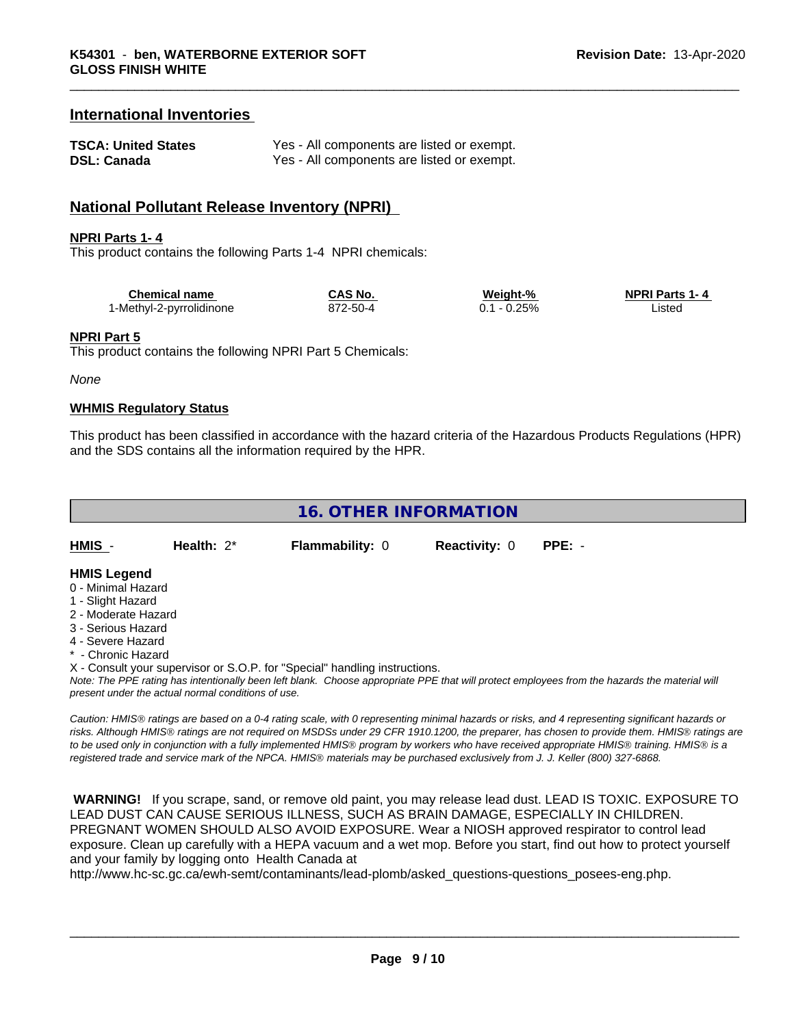#### **International Inventories**

| <b>TSCA: United States</b> | Yes - All components are listed or exempt. |
|----------------------------|--------------------------------------------|
| <b>DSL: Canada</b>         | Yes - All components are listed or exempt. |

#### **National Pollutant Release Inventory (NPRI)**

#### **NPRI Parts 1- 4**

This product contains the following Parts 1-4 NPRI chemicals:

| Chemical name            | <b>CAS No.</b> | Weight-% | <b>NPRI Parts 1-4</b> |
|--------------------------|----------------|----------|-----------------------|
| 1-Methyl-2-pyrrolidinone | 872-50-4       | 0.25%    | ∟ıstec                |

#### **NPRI Part 5**

This product contains the following NPRI Part 5 Chemicals:

*None*

#### **WHMIS Regulatory Status**

This product has been classified in accordance with the hazard criteria of the Hazardous Products Regulations (HPR) and the SDS contains all the information required by the HPR.

| 16. OTHER INFORMATION |               |                        |                             |  |  |  |
|-----------------------|---------------|------------------------|-----------------------------|--|--|--|
| <u>HMIS</u> -         | Health: $2^*$ | <b>Flammability: 0</b> | <b>Reactivity: 0 PPE: -</b> |  |  |  |

#### **HMIS Legend**

- 0 Minimal Hazard
- 1 Slight Hazard
- 2 Moderate Hazard
- 3 Serious Hazard
- 4 Severe Hazard
- \* Chronic Hazard

X - Consult your supervisor or S.O.P. for "Special" handling instructions.

*Note: The PPE rating has intentionally been left blank. Choose appropriate PPE that will protect employees from the hazards the material will present under the actual normal conditions of use.*

*Caution: HMISÒ ratings are based on a 0-4 rating scale, with 0 representing minimal hazards or risks, and 4 representing significant hazards or risks. Although HMISÒ ratings are not required on MSDSs under 29 CFR 1910.1200, the preparer, has chosen to provide them. HMISÒ ratings are to be used only in conjunction with a fully implemented HMISÒ program by workers who have received appropriate HMISÒ training. HMISÒ is a registered trade and service mark of the NPCA. HMISÒ materials may be purchased exclusively from J. J. Keller (800) 327-6868.*

 **WARNING!** If you scrape, sand, or remove old paint, you may release lead dust. LEAD IS TOXIC. EXPOSURE TO LEAD DUST CAN CAUSE SERIOUS ILLNESS, SUCH AS BRAIN DAMAGE, ESPECIALLY IN CHILDREN. PREGNANT WOMEN SHOULD ALSO AVOID EXPOSURE.Wear a NIOSH approved respirator to control lead exposure. Clean up carefully with a HEPA vacuum and a wet mop. Before you start, find out how to protect yourself and your family by logging onto Health Canada at

http://www.hc-sc.gc.ca/ewh-semt/contaminants/lead-plomb/asked\_questions-questions\_posees-eng.php.